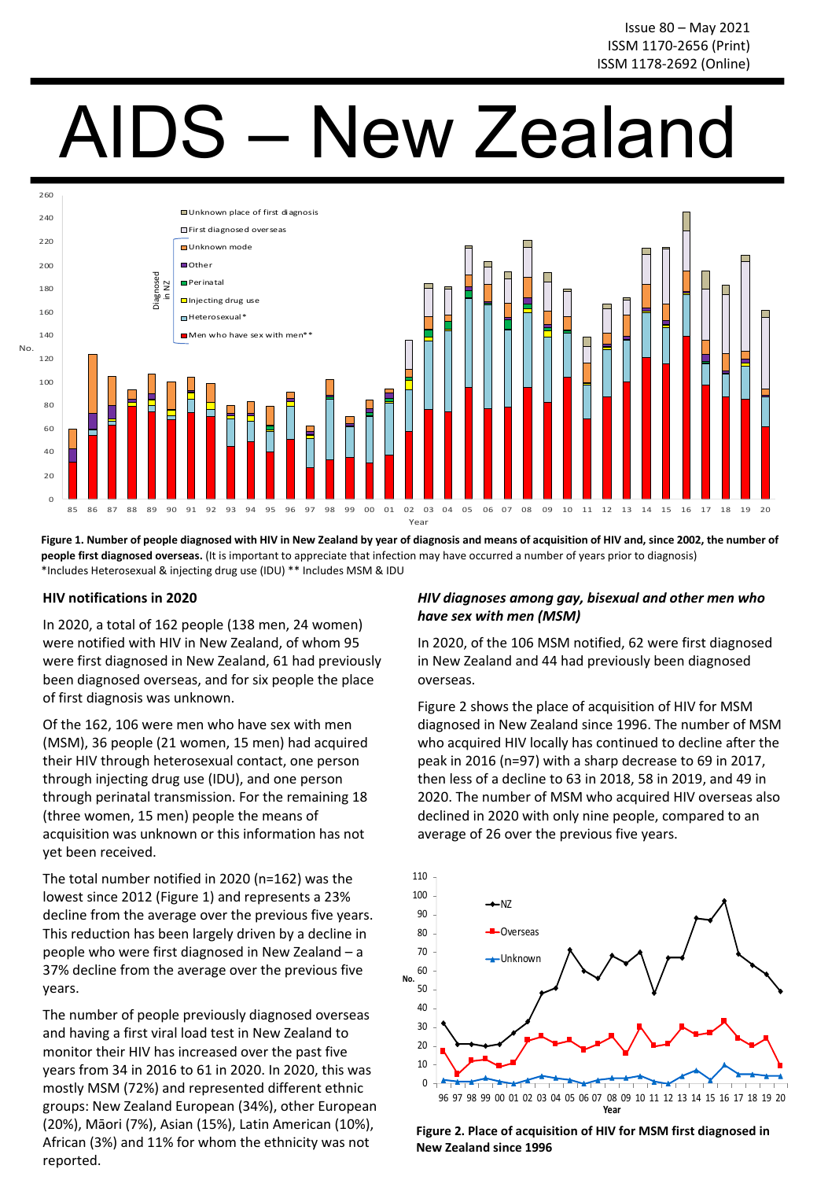# AIDS – New Zealand



**Figure 1. Number of people diagnosed with HIV in New Zealand by year of diagnosis and means of acquisition of HIV and, since 2002, the number of people first diagnosed overseas.** (It is important to appreciate that infection may have occurred a number of years prior to diagnosis) \*Includes Heterosexual & injecting drug use (IDU) \*\* Includes MSM & IDU

## **HIV notifications in 2020**

In 2020, a total of 162 people (138 men, 24 women) were notified with HIV in New Zealand, of whom 95 were first diagnosed in New Zealand, 61 had previously been diagnosed overseas, and for six people the place of first diagnosis was unknown.

Of the 162, 106 were men who have sex with men (MSM), 36 people (21 women, 15 men) had acquired their HIV through heterosexual contact, one person through injecting drug use (IDU), and one person through perinatal transmission. For the remaining 18 (three women, 15 men) people the means of acquisition was unknown or this information has not yet been received.

The total number notified in 2020 (n=162) was the lowest since 2012 (Figure 1) and represents a 23% decline from the average over the previous five years. This reduction has been largely driven by a decline in people who were first diagnosed in New Zealand – a 37% decline from the average over the previous five years.

The number of people previously diagnosed overseas and having a first viral load test in New Zealand to monitor their HIV has increased over the past five years from 34 in 2016 to 61 in 2020. In 2020, this was mostly MSM (72%) and represented different ethnic groups: New Zealand European (34%), other European (20%), Māori (7%), Asian (15%), Latin American (10%), African (3%) and 11% for whom the ethnicity was not reported.

# *HIV diagnoses among gay, bisexual and other men who have sex with men (MSM)*

In 2020, of the 106 MSM notified, 62 were first diagnosed in New Zealand and 44 had previously been diagnosed overseas.

Figure 2 shows the place of acquisition of HIV for MSM diagnosed in New Zealand since 1996. The number of MSM who acquired HIV locally has continued to decline after the peak in 2016 (n=97) with a sharp decrease to 69 in 2017, then less of a decline to 63 in 2018, 58 in 2019, and 49 in 2020. The number of MSM who acquired HIV overseas also declined in 2020 with only nine people, compared to an average of 26 over the previous five years.



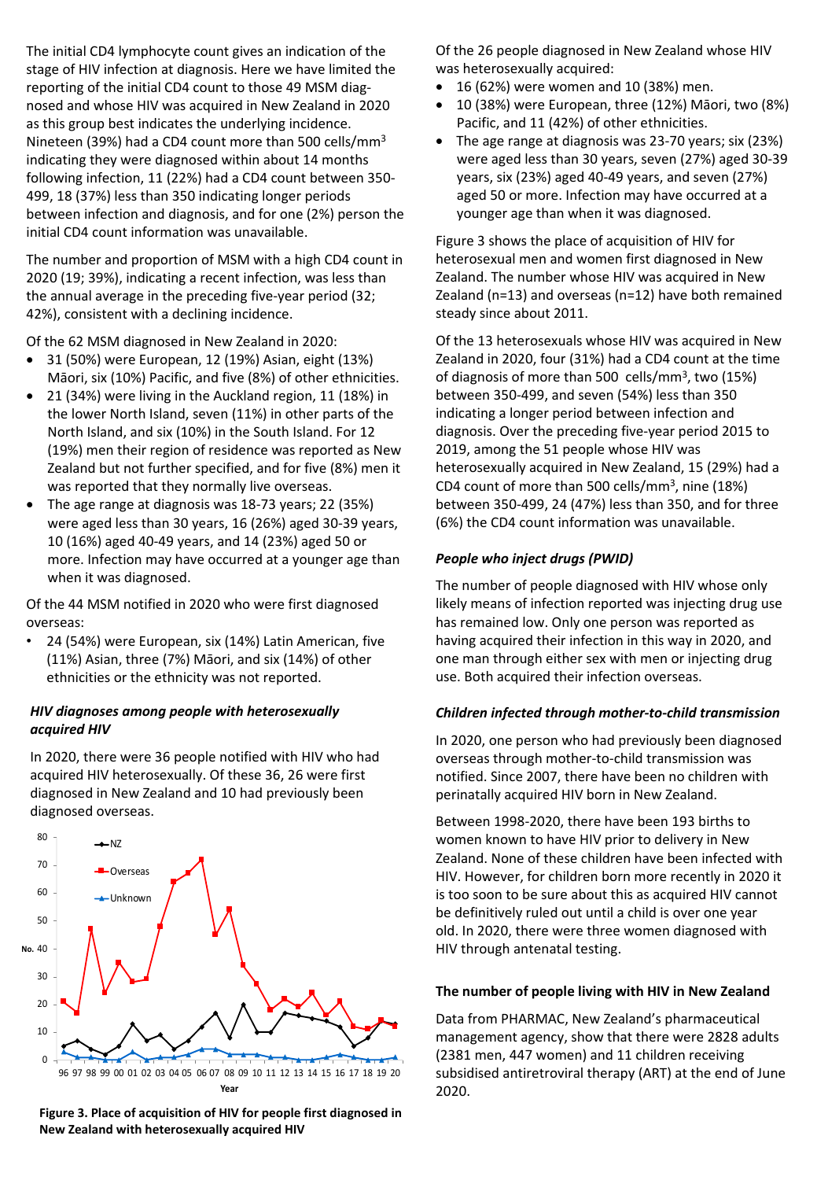The initial CD4 lymphocyte count gives an indication of the stage of HIV infection at diagnosis. Here we have limited the reporting of the initial CD4 count to those 49 MSM diagnosed and whose HIV was acquired in New Zealand in 2020 as this group best indicates the underlying incidence. Nineteen (39%) had a CD4 count more than 500 cells/mm3 indicating they were diagnosed within about 14 months following infection, 11 (22%) had a CD4 count between 350- 499, 18 (37%) less than 350 indicating longer periods between infection and diagnosis, and for one (2%) person the initial CD4 count information was unavailable.

The number and proportion of MSM with a high CD4 count in 2020 (19; 39%), indicating a recent infection, was less than the annual average in the preceding five-year period (32; 42%), consistent with a declining incidence.

Of the 62 MSM diagnosed in New Zealand in 2020:

- 31 (50%) were European, 12 (19%) Asian, eight (13%) Māori, six (10%) Pacific, and five (8%) of other ethnicities.
- 21 (34%) were living in the Auckland region, 11 (18%) in the lower North Island, seven (11%) in other parts of the North Island, and six (10%) in the South Island. For 12 (19%) men their region of residence was reported as New Zealand but not further specified, and for five (8%) men it was reported that they normally live overseas.
- The age range at diagnosis was 18-73 years; 22 (35%) were aged less than 30 years, 16 (26%) aged 30-39 years, 10 (16%) aged 40-49 years, and 14 (23%) aged 50 or more. Infection may have occurred at a younger age than when it was diagnosed.

Of the 44 MSM notified in 2020 who were first diagnosed overseas:

• 24 (54%) were European, six (14%) Latin American, five (11%) Asian, three (7%) Māori, and six (14%) of other ethnicities or the ethnicity was not reported.

## *HIV diagnoses among people with heterosexually acquired HIV*

In 2020, there were 36 people notified with HIV who had acquired HIV heterosexually. Of these 36, 26 were first diagnosed in New Zealand and 10 had previously been diagnosed overseas.



**Figure 3. Place of acquisition of HIV for people first diagnosed in New Zealand with heterosexually acquired HIV**

Of the 26 people diagnosed in New Zealand whose HIV was heterosexually acquired:

- 16 (62%) were women and 10 (38%) men.
- 10 (38%) were European, three (12%) Māori, two (8%) Pacific, and 11 (42%) of other ethnicities.
- The age range at diagnosis was 23-70 years; six (23%) were aged less than 30 years, seven (27%) aged 30-39 years, six (23%) aged 40-49 years, and seven (27%) aged 50 or more. Infection may have occurred at a younger age than when it was diagnosed.

Figure 3 shows the place of acquisition of HIV for heterosexual men and women first diagnosed in New Zealand. The number whose HIV was acquired in New Zealand (n=13) and overseas (n=12) have both remained steady since about 2011.

Of the 13 heterosexuals whose HIV was acquired in New Zealand in 2020, four (31%) had a CD4 count at the time of diagnosis of more than 500 cells/mm3, two (15%) between 350-499, and seven (54%) less than 350 indicating a longer period between infection and diagnosis. Over the preceding five-year period 2015 to 2019, among the 51 people whose HIV was heterosexually acquired in New Zealand, 15 (29%) had a CD4 count of more than 500 cells/mm3, nine (18%) between 350-499, 24 (47%) less than 350, and for three (6%) the CD4 count information was unavailable.

# *People who inject drugs (PWID)*

The number of people diagnosed with HIV whose only likely means of infection reported was injecting drug use has remained low. Only one person was reported as having acquired their infection in this way in 2020, and one man through either sex with men or injecting drug use. Both acquired their infection overseas.

## *Children infected through mother-to-child transmission*

In 2020, one person who had previously been diagnosed overseas through mother-to-child transmission was notified. Since 2007, there have been no children with perinatally acquired HIV born in New Zealand.

Between 1998-2020, there have been 193 births to women known to have HIV prior to delivery in New Zealand. None of these children have been infected with HIV. However, for children born more recently in 2020 it is too soon to be sure about this as acquired HIV cannot be definitively ruled out until a child is over one year old. In 2020, there were three women diagnosed with HIV through antenatal testing.

## **The number of people living with HIV in New Zealand**

Data from PHARMAC, New Zealand's pharmaceutical management agency, show that there were 2828 adults (2381 men, 447 women) and 11 children receiving subsidised antiretroviral therapy (ART) at the end of June 2020.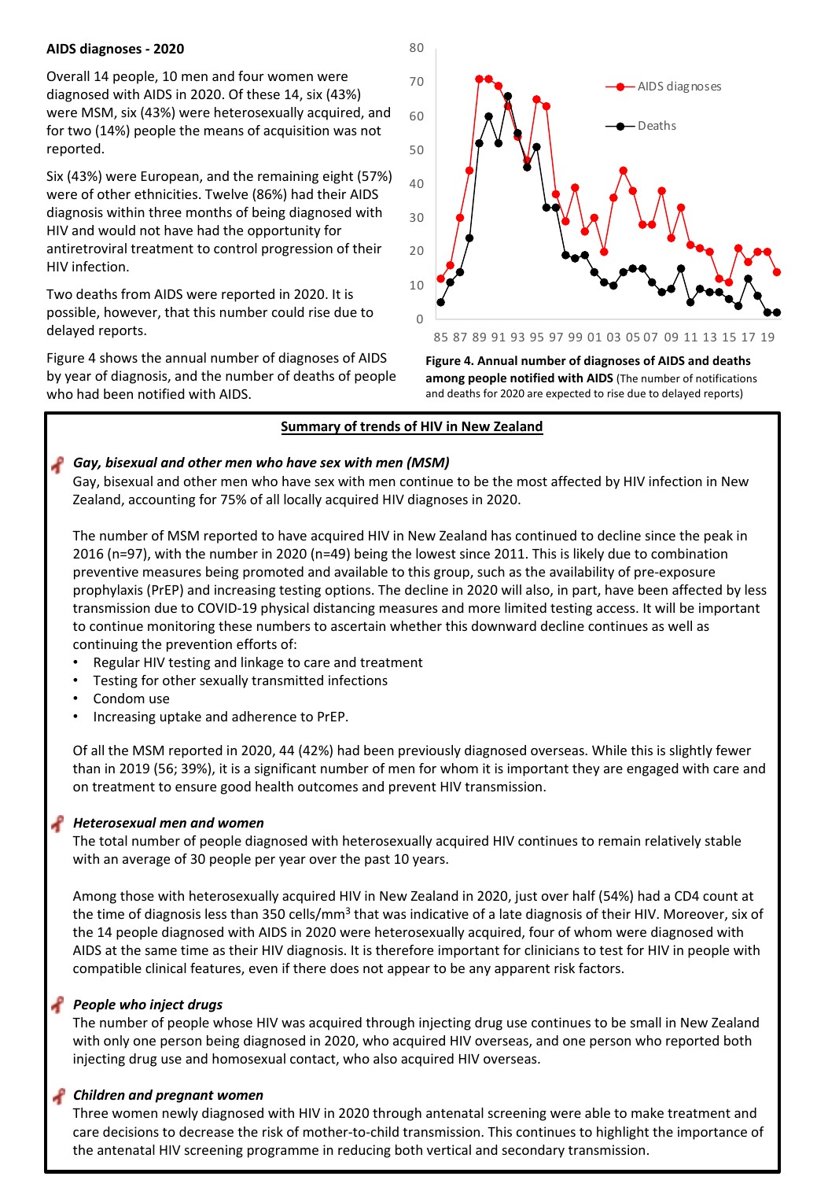## **AIDS diagnoses - 2020**

Overall 14 people, 10 men and four women were diagnosed with AIDS in 2020. Of these 14, six (43%) were MSM, six (43%) were heterosexually acquired, and for two (14%) people the means of acquisition was not reported.

Six (43%) were European, and the remaining eight (57%) were of other ethnicities. Twelve (86%) had their AIDS diagnosis within three months of being diagnosed with HIV and would not have had the opportunity for antiretroviral treatment to control progression of their HIV infection.

Two deaths from AIDS were reported in 2020. It is possible, however, that this number could rise due to delayed reports.

Figure 4 shows the annual number of diagnoses of AIDS by year of diagnosis, and the number of deaths of people who had been notified with AIDS.



**Figure 4. Annual number of diagnoses of AIDS and deaths among people notified with AIDS** (The number of notifications

and deaths for 2020 are expected to rise due to delayed reports)

#### **Summary of trends of HIV in New Zealand**

#### *Gay, bisexual and other men who have sex with men (MSM)*

Gay, bisexual and other men who have sex with men continue to be the most affected by HIV infection in New Zealand, accounting for 75% of all locally acquired HIV diagnoses in 2020.

The number of MSM reported to have acquired HIV in New Zealand has continued to decline since the peak in 2016 (n=97), with the number in 2020 (n=49) being the lowest since 2011. This is likely due to combination preventive measures being promoted and available to this group, such as the availability of pre-exposure prophylaxis (PrEP) and increasing testing options. The decline in 2020 will also, in part, have been affected by less transmission due to COVID-19 physical distancing measures and more limited testing access. It will be important to continue monitoring these numbers to ascertain whether this downward decline continues as well as continuing the prevention efforts of:

- Regular HIV testing and linkage to care and treatment
- Testing for other sexually transmitted infections
- Condom use
- Increasing uptake and adherence to PrEP.

Of all the MSM reported in 2020, 44 (42%) had been previously diagnosed overseas. While this is slightly fewer than in 2019 (56; 39%), it is a significant number of men for whom it is important they are engaged with care and on treatment to ensure good health outcomes and prevent HIV transmission.

## *Heterosexual men and women*

The total number of people diagnosed with heterosexually acquired HIV continues to remain relatively stable with an average of 30 people per year over the past 10 years.

Among those with heterosexually acquired HIV in New Zealand in 2020, just over half (54%) had a CD4 count at the time of diagnosis less than 350 cells/mm<sup>3</sup> that was indicative of a late diagnosis of their HIV. Moreover, six of the 14 people diagnosed with AIDS in 2020 were heterosexually acquired, four of whom were diagnosed with AIDS at the same time as their HIV diagnosis. It is therefore important for clinicians to test for HIV in people with compatible clinical features, even if there does not appear to be any apparent risk factors.

## *People who inject drugs*

The number of people whose HIV was acquired through injecting drug use continues to be small in New Zealand with only one person being diagnosed in 2020, who acquired HIV overseas, and one person who reported both injecting drug use and homosexual contact, who also acquired HIV overseas.

## *Children and pregnant women*

Three women newly diagnosed with HIV in 2020 through antenatal screening were able to make treatment and care decisions to decrease the risk of mother-to-child transmission. This continues to highlight the importance of the antenatal HIV screening programme in reducing both vertical and secondary transmission.